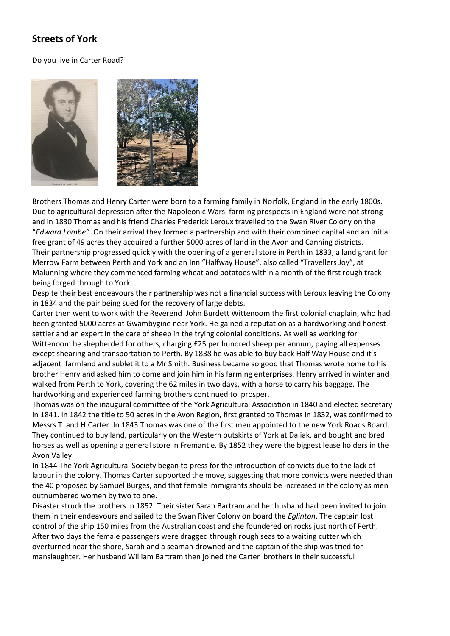## **Streets of York**

## Do you live in Carter Road?



Brothers Thomas and Henry Carter were born to a farming family in Norfolk, England in the early 1800s. Due to agricultural depression after the Napoleonic Wars, farming prospects in England were not strong and in 1830 Thomas and his friend Charles Frederick Leroux travelled to the Swan River Colony on the "*Edward Lombe".* On their arrival they formed a partnership and with their combined capital and an initial free grant of 49 acres they acquired a further 5000 acres of land in the Avon and Canning districts. Their partnership progressed quickly with the opening of a general store in Perth in 1833, a land grant for Merrow Farm between Perth and York and an Inn "Halfway House", also called "Travellers Joy", at Malunning where they commenced farming wheat and potatoes within a month of the first rough track being forged through to York.

Despite their best endeavours their partnership was not a financial success with Leroux leaving the Colony in 1834 and the pair being sued for the recovery of large debts.

Carter then went to work with the Reverend John Burdett Wittenoom the first colonial chaplain, who had been granted 5000 acres at Gwambygine near York. He gained a reputation as a hardworking and honest settler and an expert in the care of sheep in the trying colonial conditions. As well as working for Wittenoom he shepherded for others, charging £25 per hundred sheep per annum, paying all expenses except shearing and transportation to Perth. By 1838 he was able to buy back Half Way House and it's adjacent farmland and sublet it to a Mr Smith. Business became so good that Thomas wrote home to his brother Henry and asked him to come and join him in his farming enterprises. Henry arrived in winter and walked from Perth to York, covering the 62 miles in two days, with a horse to carry his baggage. The hardworking and experienced farming brothers continued to prosper.

Thomas was on the inaugural committee of the York Agricultural Association in 1840 and elected secretary in 1841. In 1842 the title to 50 acres in the Avon Region, first granted to Thomas in 1832, was confirmed to Messrs T. and H.Carter. In 1843 Thomas was one of the first men appointed to the new York Roads Board. They continued to buy land, particularly on the Western outskirts of York at Daliak, and bought and bred horses as well as opening a general store in Fremantle. By 1852 they were the biggest lease holders in the Avon Valley.

In 1844 The York Agricultural Society began to press for the introduction of convicts due to the lack of labour in the colony. Thomas Carter supported the move, suggesting that more convicts were needed than the 40 proposed by Samuel Burges, and that female immigrants should be increased in the colony as men outnumbered women by two to one.

Disaster struck the brothers in 1852. Their sister Sarah Bartram and her husband had been invited to join them in their endeavours and sailed to the Swan River Colony on board the *Eglinton*. The captain lost control of the ship 150 miles from the Australian coast and she foundered on rocks just north of Perth. After two days the female passengers were dragged through rough seas to a waiting cutter which overturned near the shore, Sarah and a seaman drowned and the captain of the ship was tried for manslaughter. Her husband William Bartram then joined the Carter brothers in their successful